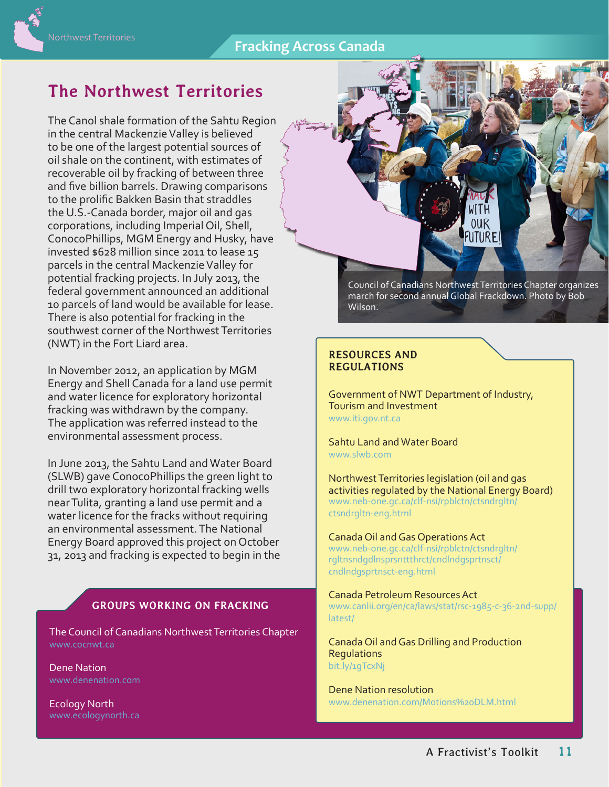## **Fracking Across Canada**

## **The Northwest Territories**

The Canol shale formation of the Sahtu Region in the central Mackenzie Valley is believed to be one of the largest potential sources of oil shale on the continent, with estimates of recoverable oil by fracking of between three and five billion barrels. Drawing comparisons to the prolific Bakken Basin that straddles the U.S.-Canada border, major oil and gas corporations, including Imperial Oil, Shell, ConocoPhillips, MGM Energy and Husky, have invested \$628 million since 2011 to lease 15 parcels in the central Mackenzie Valley for potential fracking projects. In July 2013, the federal government announced an additional 10 parcels of land would be available for lease. There is also potential for fracking in the southwest corner of the Northwest Territories (NWT) in the Fort Liard area.

In November 2012, an application by MGM Energy and Shell Canada for a land use permit and water licence for exploratory horizontal fracking was withdrawn by the company. The application was referred instead to the environmental assessment process.

In June 2013, the Sahtu Land and Water Board (SLWB) gave ConocoPhillips the green light to drill two exploratory horizontal fracking wells near Tulita, granting a land use permit and a water licence for the fracks without requiring an environmental assessment. The National Energy Board approved this project on October 31, 2013 and fracking is expected to begin in the

## **GROUPS WORKING ON FRACKING**

The Council of Canadians Northwest Territories Chapter [www.cocnwt.ca](http://www.cocnwt.ca)

Dene Nation [www.denenation.com](http://www.denenation.com) 

Ecology North

**OUR** FUTUREI Council of Canadians Northwest Territories Chapter organizes march for second annual Global Frackdown. Photo by Bob

## **RESOURCES AND REGULATIONS**

Wilson.

Government of NWT Department of Industry, Tourism and Investment [www.iti.gov.nt.ca](http://www.iti.gov.nt.ca)

Sahtu Land and Water Board www[.slwb.com](http://slwb.com) 

Northwest Territories legislation (oil and gas activities regulated by the National Energy Board) [www.neb-one.gc.ca/clf-nsi/rpblctn/ctsndrgltn/](http://www.neb-one.gc.ca/clf-nsi/rpblctn/ctsndrgltn/ctsndrgltn-eng.html) [ctsndrgltn-eng.html](http://www.neb-one.gc.ca/clf-nsi/rpblctn/ctsndrgltn/ctsndrgltn-eng.html) 

Canada Oil and Gas Operations Act [www.neb-one.gc.ca/clf-nsi/rpblctn/ctsndrgltn/](http://www.neb-one.gc.ca/clf-nsi/rpblctn/ctsndrgltn/rgltnsndgdlnsprsnttthrct/cndlndgsprtnsct/cndlndgsprtnsct-eng.html) [rgltnsndgdlnsprsnttthrct/cndlndgsprtnsct/](http://www.neb-one.gc.ca/clf-nsi/rpblctn/ctsndrgltn/rgltnsndgdlnsprsnttthrct/cndlndgsprtnsct/cndlndgsprtnsct-eng.html)

[cndlndgsprtnsct-eng.html](http://www.neb-one.gc.ca/clf-nsi/rpblctn/ctsndrgltn/rgltnsndgdlnsprsnttthrct/cndlndgsprtnsct/cndlndgsprtnsct-eng.html)

Canada Petroleum Resources Act [www.canlii.org/en/ca/laws/stat/rsc-1985-c-36-2nd-supp/](http://www.canlii.org/en/ca/laws/stat/rsc-1985-c-36-2nd-supp/latest/) [latest/](http://www.canlii.org/en/ca/laws/stat/rsc-1985-c-36-2nd-supp/latest/)

Canada Oil and Gas Drilling and Production **Regulations** [bit.ly/1gTcxNj](http://bit.ly/1gTcxNj)

Dene Nation resolution [www.denenation.com/Motions%20DLM.html](http://www.denenation.com/Motions%20DLM.html)